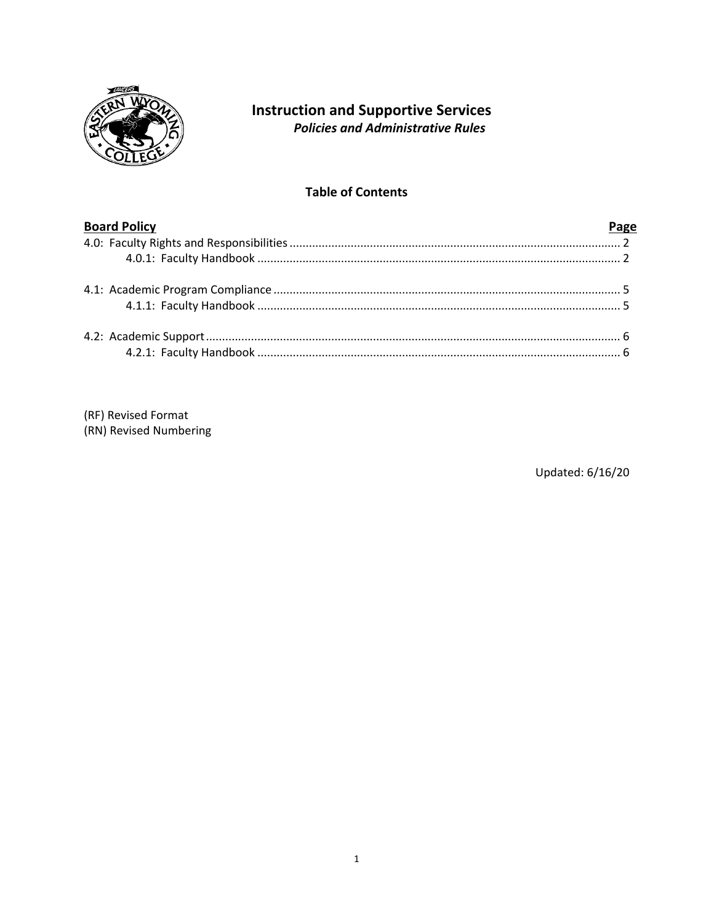

# **Instruction and Supportive Services Policies and Administrative Rules**

# **Table of Contents**

| <b>Board Policy</b> |  |
|---------------------|--|
|                     |  |
|                     |  |
|                     |  |
|                     |  |
|                     |  |
|                     |  |

(RF) Revised Format (RN) Revised Numbering

Updated: 6/16/20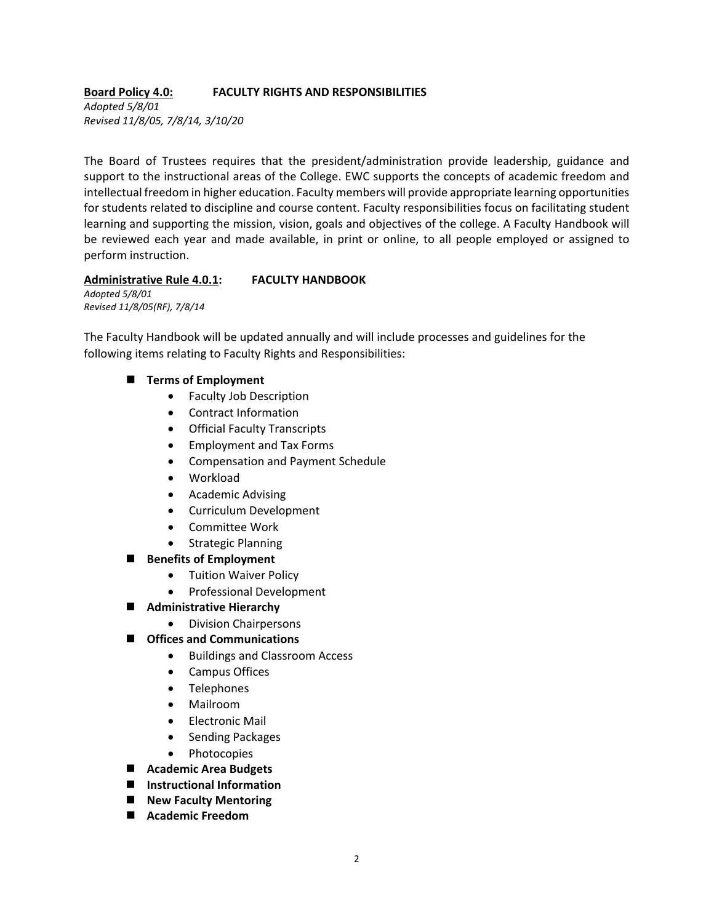# **Board Policy 4.0: FACULTY RIGHTS AND RESPONSIBILITIES**

*Adopted 5/8/01 Revised 11/8/05, 7/8/14, 3/10/20*

The Board of Trustees requires that the president/administration provide leadership, guidance and support to the instructional areas of the College. EWC supports the concepts of academic freedom and intellectual freedom in higher education. Faculty members will provide appropriate learning opportunities for students related to discipline and course content. Faculty responsibilities focus on facilitating student learning and supporting the mission, vision, goals and objectives of the college. A Faculty Handbook will be reviewed each year and made available, in print or online, to all people employed or assigned to perform instruction.

### **Administrative Rule 4.0.1: FACULTY HANDBOOK**

*Adopted 5/8/01 Revised 11/8/05(RF), 7/8/14*

The Faculty Handbook will be updated annually and will include processes and guidelines for the following items relating to Faculty Rights and Responsibilities:

- **Terms of Employment** 
	- Faculty Job Description
	- Contract Information
	- Official Faculty Transcripts
	- Employment and Tax Forms
	- Compensation and Payment Schedule
	- Workload
	- Academic Advising
	- Curriculum Development
	- Committee Work
	- Strategic Planning
- **Benefits of Employment**
	- Tuition Waiver Policy
	- Professional Development
- **Administrative Hierarchy**
	- Division Chairpersons
- **Offices and Communications**
	- Buildings and Classroom Access
	- Campus Offices
	- Telephones
	- Mailroom
	- Electronic Mail
	- Sending Packages
	- Photocopies
- **Academic Area Budgets**
- **Instructional Information**
- **New Faculty Mentoring**
- **Academic Freedom**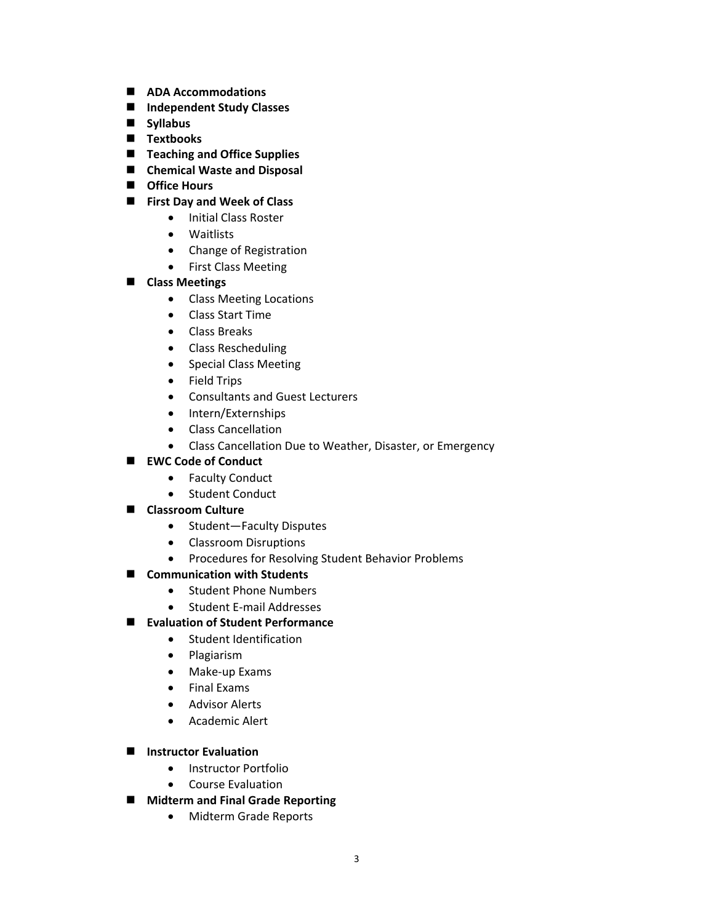- **ADA Accommodations**
- **Independent Study Classes**
- **Syllabus**
- **Textbooks**
- Teaching and Office Supplies
- **Chemical Waste and Disposal**
- **Office Hours**
- **First Day and Week of Class**
	- Initial Class Roster
	- Waitlists
	- Change of Registration
	- First Class Meeting

# **Class Meetings**

- Class Meeting Locations
- Class Start Time
- Class Breaks
- Class Rescheduling
- Special Class Meeting
- Field Trips
- Consultants and Guest Lecturers
- Intern/Externships
- Class Cancellation
- Class Cancellation Due to Weather, Disaster, or Emergency

# ■ **EWC Code of Conduct**

- Faculty Conduct
- Student Conduct

# **Classroom Culture**

- Student—Faculty Disputes
- Classroom Disruptions
- Procedures for Resolving Student Behavior Problems

# ■ Communication with Students

- Student Phone Numbers
- Student E-mail Addresses
- **Evaluation of Student Performance**
	- Student Identification
	- Plagiarism
	- Make-up Exams
	- Final Exams
	- Advisor Alerts
	- Academic Alert
- **Instructor Evaluation**
	- Instructor Portfolio
	- Course Evaluation
- **Midterm and Final Grade Reporting** 
	- Midterm Grade Reports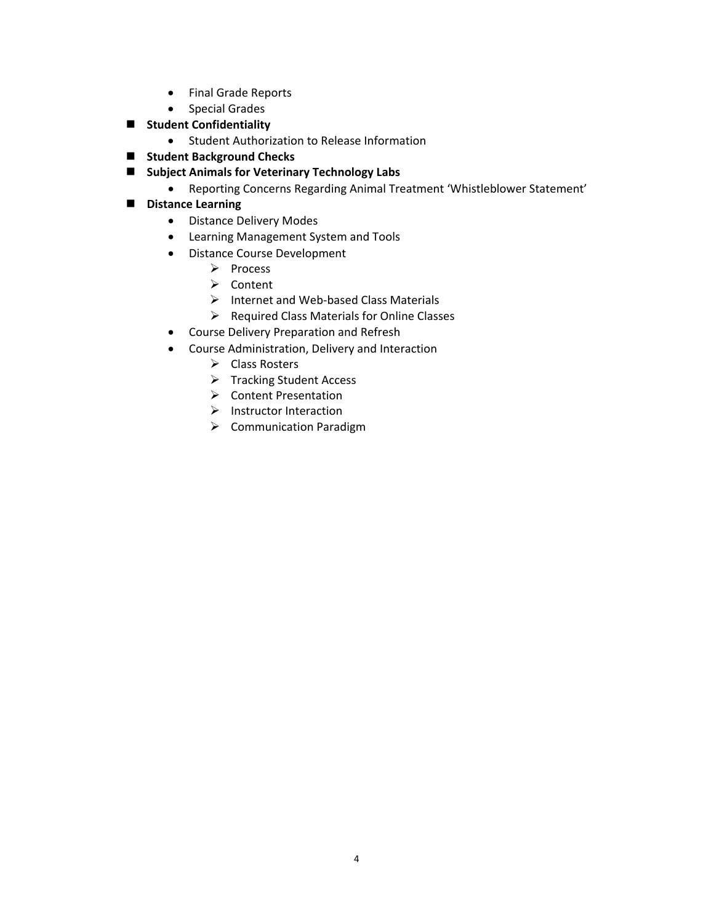- Final Grade Reports
- Special Grades
- $\blacksquare$  Student Confidentiality
	- Student Authorization to Release Information
- **E** Student Background Checks
- **Subject Animals for Veterinary Technology Labs**
	- Reporting Concerns Regarding Animal Treatment 'Whistleblower Statement'

## **Distance Learning**

- Distance Delivery Modes
- Learning Management System and Tools
- Distance Course Development
	- $\triangleright$  Process
	- $\triangleright$  Content
	- $\triangleright$  Internet and Web-based Class Materials
	- $\triangleright$  Required Class Materials for Online Classes
- Course Delivery Preparation and Refresh
- Course Administration, Delivery and Interaction
	- **►** Class Rosters
	- $\triangleright$  Tracking Student Access
	- ▶ Content Presentation
	- $\triangleright$  Instructor Interaction
	- $\triangleright$  Communication Paradigm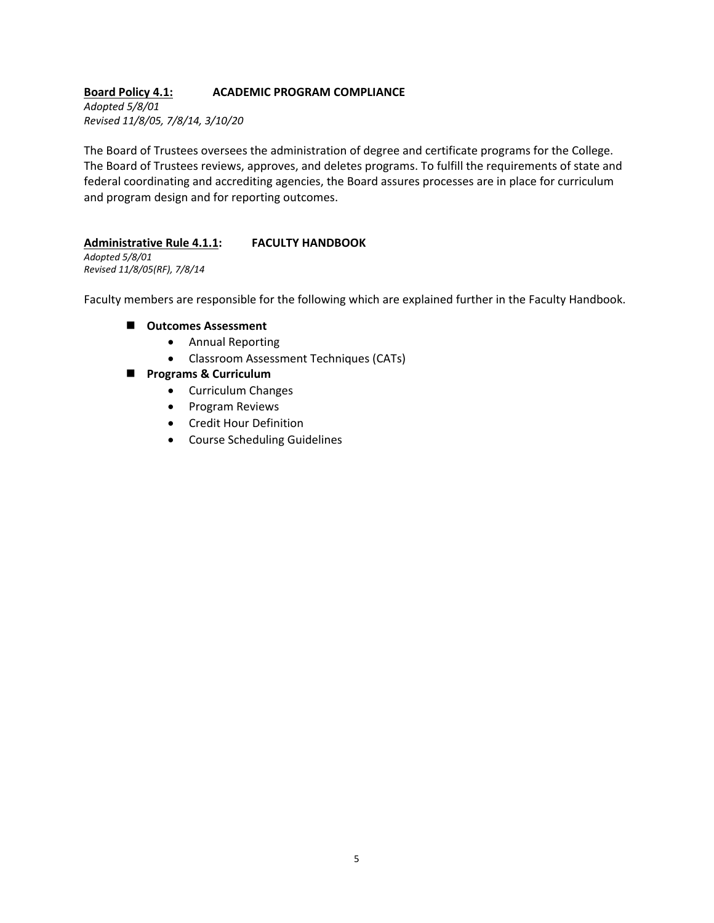### **Board Policy 4.1: ACADEMIC PROGRAM COMPLIANCE**

*Adopted 5/8/01 Revised 11/8/05, 7/8/14, 3/10/20*

The Board of Trustees oversees the administration of degree and certificate programs for the College. The Board of Trustees reviews, approves, and deletes programs. To fulfill the requirements of state and federal coordinating and accrediting agencies, the Board assures processes are in place for curriculum and program design and for reporting outcomes.

#### **Administrative Rule 4.1.1: FACULTY HANDBOOK**

*Adopted 5/8/01 Revised 11/8/05(RF), 7/8/14*

Faculty members are responsible for the following which are explained further in the Faculty Handbook.

#### **Outcomes Assessment**

- Annual Reporting
- Classroom Assessment Techniques (CATs)
- **Programs & Curriculum** 
	- Curriculum Changes
	- Program Reviews
	- Credit Hour Definition
	- Course Scheduling Guidelines